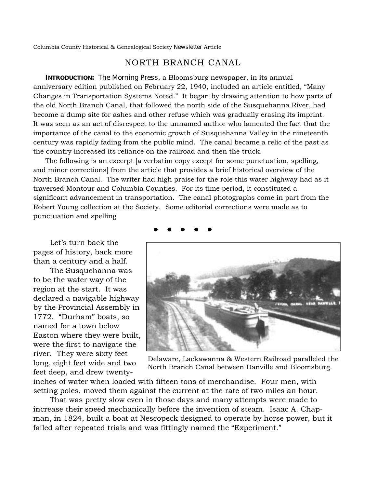Columbia County Historical & Genealogical Society *Newsletter* Article

## NORTH BRANCH CANAL

**INTRODUCTION:** *The Morning Press*, a Bloomsburg newspaper, in its annual anniversary edition published on February 22, 1940, included an article entitled, "Many Changes in Transportation Systems Noted." It began by drawing attention to how parts of the old North Branch Canal, that followed the north side of the Susquehanna River, had become a dump site for ashes and other refuse which was gradually erasing its imprint. It was seen as an act of disrespect to the unnamed author who lamented the fact that the importance of the canal to the economic growth of Susquehanna Valley in the nineteenth century was rapidly fading from the public mind. The canal became a relic of the past as the country increased its reliance on the railroad and then the truck.

The following is an excerpt [a verbatim copy except for some punctuation, spelling, and minor corrections] from the article that provides a brief historical overview of the North Branch Canal. The writer had high praise for the role this water highway had as it traversed Montour and Columbia Counties. For its time period, it constituted a significant advancement in transportation. The canal photographs come in part from the Robert Young collection at the Society. Some editorial corrections were made as to punctuation and spelling

Let's turn back the pages of history, back more than a century and a half.

The Susquehanna was to be the water way of the region at the start. It was declared a navigable highway by the Provincial Assembly in 1772. "Durham" boats, so named for a town below Easton where they were built, were the first to navigate the river. They were sixty feet long, eight feet wide and two feet deep, and drew twenty-



Delaware, Lackawanna & Western Railroad paralleled the North Branch Canal between Danville and Bloomsburg.

inches of water when loaded with fifteen tons of merchandise. Four men, with setting poles, moved them against the current at the rate of two miles an hour.

That was pretty slow even in those days and many attempts were made to increase their speed mechanically before the invention of steam. Isaac A. Chapman, in 1824, built a boat at Nescopeck designed to operate by horse power, but it failed after repeated trials and was fittingly named the "Experiment."

● ● ● ● ●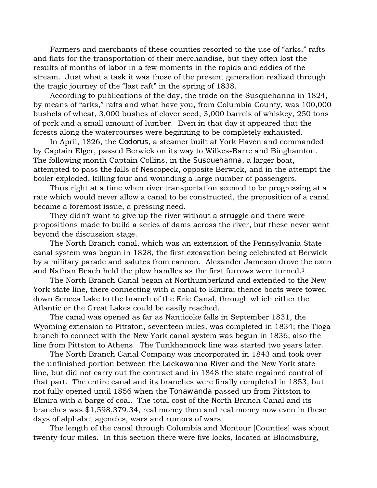Farmers and merchants of these counties resorted to the use of "arks," rafts and flats for the transportation of their merchandise, but they often lost the results of months of labor in a few moments in the rapids and eddies of the stream. Just what a task it was those of the present generation realized through the tragic journey of the "last raft" in the spring of 1838.

According to publications of the day, the trade on the Susquehanna in 1824, by means of "arks," rafts and what have you, from Columbia County, was 100,000 bushels of wheat, 3,000 bushes of clover seed, 3,000 barrels of whiskey, 250 tons of pork and a small amount of lumber. Even in that day it appeared that the forests along the watercourses were beginning to be completely exhausted.

In April, 1826, the *Codorus*, a steamer built at York Haven and commanded by Captain Elger, passed Berwick on its way to Wilkes-Barre and Binghamton. The following month Captain Collins, in the *Susquehanna*, a larger boat, attempted to pass the falls of Nescopeck, opposite Berwick, and in the attempt the boiler exploded, killing four and wounding a large number of passengers.

Thus right at a time when river transportation seemed to be progressing at a rate which would never allow a canal to be constructed, the proposition of a canal became a foremost issue, a pressing need.

They didn't want to give up the river without a struggle and there were propositions made to build a series of dams across the river, but these never went beyond the discussion stage.

The North Branch canal, which was an extension of the Pennsylvania State canal system was begun in 1828, the first excavation being celebrated at Berwick by a military parade and salutes from cannon. Alexander Jameson drove the oxen and Nathan Beach held the plow handles as the first furrows were turned.1

The North Branch Canal began at Northumberland and extended to the New York state line, there connecting with a canal to Elmira; thence boats were towed down Seneca Lake to the branch of the Erie Canal, through which either the Atlantic or the Great Lakes could be easily reached.

The canal was opened as far as Nanticoke falls in September 1831, the Wyoming extension to Pittston, seventeen miles, was completed in 1834; the Tioga branch to connect with the New York canal system was begun in 1836; also the line from Pittston to Athens. The Tunkhannock line was started two years later.

The North Branch Canal Company was incorporated in 1843 and took over the unfinished portion between the Lackawanna River and the New York state line, but did not carry out the contract and in 1848 the state regained control of that part. The entire canal and its branches were finally completed in 1853, but not fully opened until 1856 when the *Tonawanda* passed up from Pittston to Elmira with a barge of coal. The total cost of the North Branch Canal and its branches was \$1,598,379.34, real money then and real money now even in these days of alphabet agencies, wars and rumors of wars.

The length of the canal through Columbia and Montour [Counties] was about twenty-four miles. In this section there were five locks, located at Bloomsburg,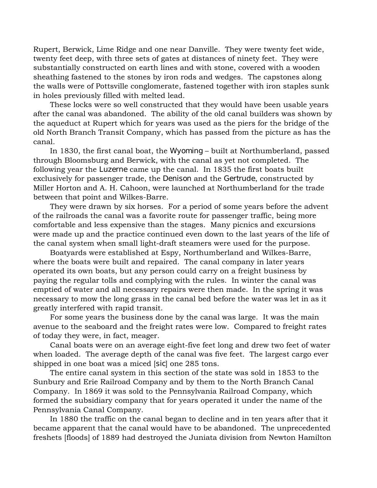Rupert, Berwick, Lime Ridge and one near Danville. They were twenty feet wide, twenty feet deep, with three sets of gates at distances of ninety feet. They were substantially constructed on earth lines and with stone, covered with a wooden sheathing fastened to the stones by iron rods and wedges. The capstones along the walls were of Pottsville conglomerate, fastened together with iron staples sunk in holes previously filled with melted lead.

These locks were so well constructed that they would have been usable years after the canal was abandoned. The ability of the old canal builders was shown by the aqueduct at Rupert which for years was used as the piers for the bridge of the old North Branch Transit Company, which has passed from the picture as has the canal.

In 1830, the first canal boat, the *Wyoming* – built at Northumberland, passed through Bloomsburg and Berwick, with the canal as yet not completed. The following year the *Luzerne* came up the canal. In 1835 the first boats built exclusively for passenger trade, the *Denison* and the *Gertrude*, constructed by Miller Horton and A. H. Cahoon, were launched at Northumberland for the trade between that point and Wilkes-Barre.

They were drawn by six horses. For a period of some years before the advent of the railroads the canal was a favorite route for passenger traffic, being more comfortable and less expensive than the stages. Many picnics and excursions were made up and the practice continued even down to the last years of the life of the canal system when small light-draft steamers were used for the purpose.

Boatyards were established at Espy, Northumberland and Wilkes-Barre, where the boats were built and repaired. The canal company in later years operated its own boats, but any person could carry on a freight business by paying the regular tolls and complying with the rules. In winter the canal was emptied of water and all necessary repairs were then made. In the spring it was necessary to mow the long grass in the canal bed before the water was let in as it greatly interfered with rapid transit.

For some years the business done by the canal was large. It was the main avenue to the seaboard and the freight rates were low. Compared to freight rates of today they were, in fact, meager.

Canal boats were on an average eight-five feet long and drew two feet of water when loaded. The average depth of the canal was five feet. The largest cargo ever shipped in one boat was a miced [*sic*] one 285 tons.

The entire canal system in this section of the state was sold in 1853 to the Sunbury and Erie Railroad Company and by them to the North Branch Canal Company. In 1869 it was sold to the Pennsylvania Railroad Company, which formed the subsidiary company that for years operated it under the name of the Pennsylvania Canal Company.

In 1880 the traffic on the canal began to decline and in ten years after that it became apparent that the canal would have to be abandoned. The unprecedented freshets [floods] of 1889 had destroyed the Juniata division from Newton Hamilton